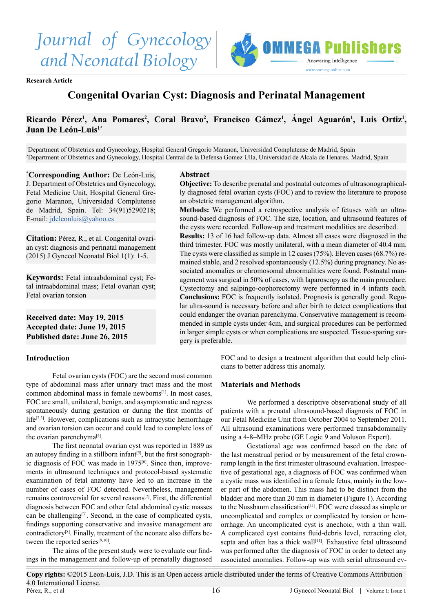



**Research Article**

# **Congenital Ovarian Cyst: Diagnosis and Perinatal Management**

## Ricardo Pérez<sup>1</sup>, Ana Pomares<sup>2</sup>, Coral Bravo<sup>2</sup>, Francisco Gámez<sup>1</sup>, Ángel Aguarón<sup>1</sup>, Luis Ortiz<sup>1</sup>, **Juan De León-Luis1\***

1 Department of Obstetrics and Gynecology, Hospital General Gregorio Maranon, Universidad Complutense de Madrid, Spain 2 Department of Obstetrics and Gynecology, Hospital Central de la Defensa Gomez Ulla, Universidad de Alcala de Henares. Madrid, Spain

**\* Corresponding Author:** De León-Luis, J. Department of Obstetrics and Gynecology, Fetal Medicine Unit, Hospital General Gregorio Maranon, Universidad Complutense de Madrid, Spain. Tel: 34(91)5290218; E-mail: jdeleonluis@yahoo.es

**Citation:** Pérez, R., et al. Congenital ovarian cyst: diagnosis and perinatal management (2015) J Gynecol Neonatal Biol 1(1): 1-5.

**Keywords:** Fetal intraabdominal cyst; Fetal intraabdominal mass; Fetal ovarian cyst; Fetal ovarian torsion

**Received date: May 19, 2015 Accepted date: June 19, 2015 Published date: June 26, 2015**

## **Introduction**

Fetal ovarian cysts (FOC) are the second most common type of abdominal mass after urinary tract mass and the most common abdominal mass in female newborn[s\[1\].](#page-4-0) In most cases, FOC are small, unilateral, benign, and asymptomatic and regress spontaneously during gestation or during the first months of  $life^{[2,3]}$ . However, complications such as intracystic hemorrhage and ovarian torsion can occur and could lead to complete loss of the ovarian parenchyma<sup>[4]</sup>.

The first neonatal ovarian cyst was reported in 1889 as an autopsy finding in a stillborn infant $[5]$ , but the first sonographic diagnosis of FOC was made in 1975<sup>[6]</sup>. Since then, improvements in ultrasound techniques and protocol-based systematic examination of fetal anatomy have led to an increase in the number of cases of FOC detected. Nevertheless, management remains controversial for several reasons[\[7\].](#page-4-5) First, the differential diagnosis between FOC and other fetal abdominal cystic masses can be challengin[g\[3\].](#page-4-6) Second, in the case of complicated cysts, findings supporting conservative and invasive management are contradictory[\[8\]](#page-4-7). Finally, treatment of the neonate also differs between the reported series<sup>[9,10]</sup>.

The aims of the present study were to evaluate our findings in the management and follow-up of prenatally diagnosed

#### **Abstract**

**Objective:** To describe prenatal and postnatal outcomes of ultrasonographically diagnosed fetal ovarian cysts (FOC) and to review the literature to propose an obstetric management algorithm.

**Methods:** We performed a retrospective analysis of fetuses with an ultrasound-based diagnosis of FOC. The size, location, and ultrasound features of the cysts were recorded. Follow-up and treatment modalities are described. **Results:** 13 of 16 had follow-up data. Almost all cases were diagnosed in the third trimester. FOC was mostly unilateral, with a mean diameter of 40.4 mm. The cysts were classified as simple in 12 cases (75%). Eleven cases (68.7%) remained stable, and 2 resolved spontaneously (12.5%) during pregnancy. No associated anomalies or chromosomal abnormalities were found. Postnatal management was surgical in 50% of cases, with laparoscopy as the main procedure. Cystectomy and salpingo-oophorectomy were performed in 4 infants each. **Conclusions:** FOC is frequently isolated. Prognosis is generally good. Regular ultra-sound is necessary before and after birth to detect complications that could endanger the ovarian parenchyma. Conservative management is recommended in simple cysts under 4cm, and surgical procedures can be performed in larger simple cysts or when complications are suspected. Tissue-sparing surgery is preferable.

> FOC and to design a treatment algorithm that could help clinicians to better address this anomaly.

## **Materials and Methods**

We performed a descriptive observational study of all patients with a prenatal ultrasound-based diagnosis of FOC in our Fetal Medicine Unit from October 2004 to September 2011. All ultrasound examinations were performed transabdominally using a 4-8–MHz probe (GE Logic 9 and Voluson Expert).

Gestational age was confirmed based on the date of the last menstrual period or by measurement of the fetal crownrump length in the first trimester ultrasound evaluation. Irrespective of gestational age, a diagnosis of FOC was confirmed when a cystic mass was identified in a female fetus, mainly in the lower part of the abdomen. This mass had to be distinct from the bladder and more than 20 mm in diameter (Figure 1). According to the Nussbaum classification<sup>[11]</sup>. FOC were classed as simple or uncomplicated and complex or complicated by torsion or hemorrhage. An uncomplicated cyst is anechoic, with a thin wall. A complicated cyst contains fluid-debris level, retracting clot, septa and often has a thick wall<sup>[11]</sup>. Exhaustive fetal ultrasound was performed after the diagnosis of FOC in order to detect any associated anomalies. Follow-up was with serial ultrasound ev-

**Copy rights:** ©2015 Leon-Luis, J.D. This is an Open access article distributed under the terms of Creative Commons Attribution 4.0 International License. Pérez, R., et al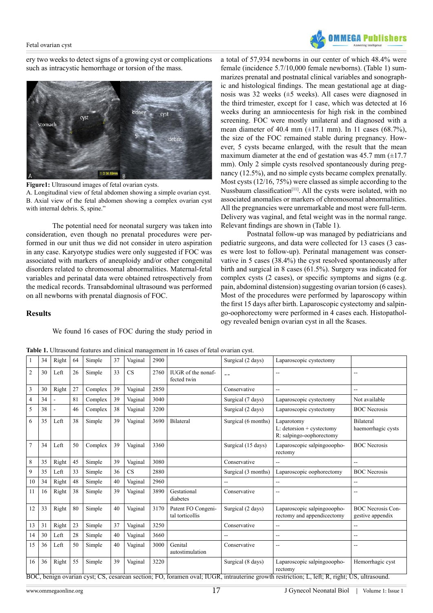

ery two weeks to detect signs of a growing cyst or complications such as intracystic hemorrhage or torsion of the mass.



**Figure1:** Ultrasound images of fetal ovarian cysts.

A. Longitudinal view of fetal abdomen showing a simple ovarian cyst. B. Axial view of the fetal abdomen showing a complex ovarian cyst with internal debris. S, spine."

The potential need for neonatal surgery was taken into consideration, even though no prenatal procedures were performed in our unit thus we did not consider in utero aspiration in any case. Karyotype studies were only suggested if FOC was associated with markers of aneuploidy and/or other congenital disorders related to chromosomal abnormalities. Maternal-fetal variables and perinatal data were obtained retrospectively from the medical records. Transabdominal ultrasound was performed on all newborns with prenatal diagnosis of FOC.

a total of 57,934 newborns in our center of which 48.4% were female (incidence 5.7/10,000 female newborns). (Table 1) summarizes prenatal and postnatal clinical variables and sonographic and histological findings. The mean gestational age at diagnosis was 32 weeks (±5 weeks). All cases were diagnosed in the third trimester, except for 1 case, which was detected at 16 weeks during an amniocentesis for high risk in the combined screening. FOC were mostly unilateral and diagnosed with a mean diameter of 40.4 mm  $(\pm 17.1 \text{ mm})$ . In 11 cases (68.7%), the size of the FOC remained stable during pregnancy. However, 5 cysts became enlarged, with the result that the mean maximum diameter at the end of gestation was  $45.7$  mm  $(\pm 17.7)$ mm). Only 2 simple cysts resolved spontaneously during pregnancy (12.5%), and no simple cysts became complex prenatally. Most cysts (12/16, 75%) were classed as simple according to the Nussbaum classification<sup>[11]</sup>. All the cysts were isolated, with no associated anomalies or markers of chromosomal abnormalities. All the pregnancies were unremarkable and most were full-term. Delivery was vaginal, and fetal weight was in the normal range. Relevant findings are shown in (Table 1).

Postnatal follow-up was managed by pediatricians and pediatric surgeons, and data were collected for 13 cases (3 cases were lost to follow-up). Perinatal management was conservative in 5 cases (38.4%) the cyst resolved spontaneously after birth and surgical in 8 cases (61.5%). Surgery was indicated for complex cysts (2 cases), or specific symptoms and signs (e.g. pain, abdominal distension) suggesting ovarian torsion (6 cases). Most of the procedures were performed by laparoscopy within the first 15 days after birth. Laparoscopic cystectomy and salpingo-oophorectomy were performed in 4 cases each. Histopathology revealed benign ovarian cyst in all the 8cases.

## **Results**

We found 16 cases of FOC during the study period in

|                | 34                                                                                                                                          | Right | 64 | Simple  | 37 | Vaginal | 2900 |                                       | Surgical (2 days)   | Laparoscopic cystectomy                                               |                                              |
|----------------|---------------------------------------------------------------------------------------------------------------------------------------------|-------|----|---------|----|---------|------|---------------------------------------|---------------------|-----------------------------------------------------------------------|----------------------------------------------|
| $\overline{2}$ | 30                                                                                                                                          | Left  | 26 | Simple  | 33 | CS      | 2760 | IUGR of the nonaf-<br>fected twin     |                     | --                                                                    | $\overline{\phantom{a}}$                     |
| 3              | 30                                                                                                                                          | Right | 27 | Complex | 39 | Vaginal | 2850 |                                       | Conservative        | $\overline{a}$                                                        | $\overline{\phantom{a}}$                     |
| 4              | 34                                                                                                                                          |       | 81 | Complex | 39 | Vaginal | 3040 |                                       | Surgical (7 days)   | Laparoscopic cystectomy                                               | Not available                                |
| 5              | 38                                                                                                                                          |       | 46 | Complex | 38 | Vaginal | 3200 |                                       | Surgical (2 days)   | Laparoscopic cystectomy                                               | <b>BOC</b> Necrosis                          |
| 6              | 35                                                                                                                                          | Left  | 38 | Simple  | 39 | Vaginal | 3690 | Bilateral                             | Surgical (6 months) | Laparotomy<br>$L:$ detorsion + cystectomy<br>R: salpingo-oophorectomy | <b>Bilateral</b><br>haemorrhagic cysts       |
|                | 34                                                                                                                                          | Left  | 50 | Complex | 39 | Vaginal | 3360 |                                       | Surgical (15 days)  | Laparoscopic salpingooopho-<br>rectomy                                | <b>BOC</b> Necrosis                          |
| 8              | 35                                                                                                                                          | Right | 45 | Simple  | 39 | Vaginal | 3080 |                                       | Conservative        | $-$                                                                   | --                                           |
| 9              | 35                                                                                                                                          | Left  | 33 | Simple  | 36 | CS      | 2880 |                                       | Surgical (3 months) | Laparoscopic oophorectomy                                             | <b>BOC</b> Necrosis                          |
| 10             | 34                                                                                                                                          | Right | 48 | Simple  | 40 | Vaginal | 2960 |                                       | --                  | --                                                                    | --                                           |
| 11             | 16                                                                                                                                          | Right | 38 | Simple  | 39 | Vaginal | 3890 | Gestational<br>diabetes               | Conservative        | $-$                                                                   | --                                           |
| 12             | 33                                                                                                                                          | Right | 80 | Simple  | 40 | Vaginal | 3170 | Patent FO Congeni-<br>tal torticollis | Surgical (2 days)   | Laparoscopic salpingooopho-<br>rectomy and appendicectomy             | <b>BOC</b> Necrosis Con-<br>gestive appendix |
| 13             | 31                                                                                                                                          | Right | 23 | Simple  | 37 | Vaginal | 3250 |                                       | Conservative        | --                                                                    | $- -$                                        |
| 14             | 30                                                                                                                                          | Left  | 28 | Simple  | 40 | Vaginal | 3660 |                                       | --                  | $-$                                                                   | --                                           |
| 15             | 36                                                                                                                                          | Left  | 50 | Simple  | 40 | Vaginal | 3000 | Genital<br>autostimulation            | Conservative        | --                                                                    | --                                           |
| 16             | 36                                                                                                                                          | Right | 55 | Simple  | 39 | Vaginal | 3220 |                                       | Surgical (8 days)   | Laparoscopic salpingooopho-<br>rectomy                                | Hemorrhagic cyst                             |
|                | BOC, benign ovarian cyst; CS, cesarean section; FO, foramen oval; IUGR, intrauterine growth restriction; L, left; R, right; US, ultrasound. |       |    |         |    |         |      |                                       |                     |                                                                       |                                              |

**Table 1.** Ultrasound features and clinical management in 16 cases of fetal ovarian cyst.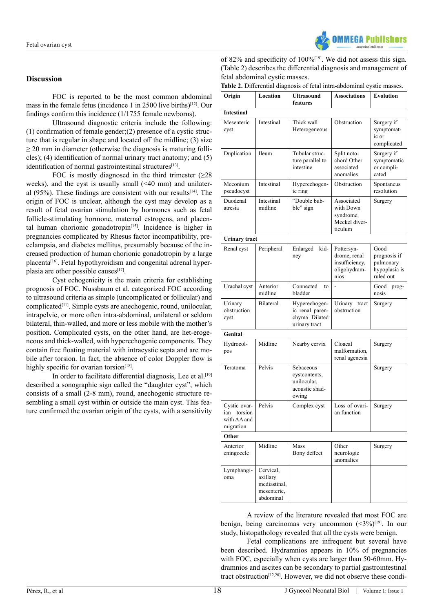

**Discussion**

FOC is reported to be the most common abdominal mass in the female fetus (incidence 1 in 2500 live births)<sup>[\[12\]](#page-4-10)</sup>. Our findings confirm this incidence (1/1755 female newborns).

Ultrasound diagnostic criteria include the following: (1) confirmation of female gender;(2) presence of a cystic structure that is regular in shape and located off the midline; (3) size ≥ 20 mm in diameter (otherwise the diagnosis is maturing follicles); (4) identification of normal urinary tract anatomy; and (5) identification of normal gastrointestinal structures<sup>[\[13\]](#page-4-11)</sup>.

FOC is mostly diagnosed in the third trimester (>28 weeks), and the cyst is usually small (<40 mm) and unilateral  $(95\%)$ . These findings are consistent with our results<sup>[14]</sup>. The origin of FOC is unclear, although the cyst may develop as a result of fetal ovarian stimulation by hormones such as fetal follicle-stimulating hormone, maternal estrogens, and placental human chorionic gonadotropin[\[15\]](#page-4-13). Incidence is higher in pregnancies complicated by Rhesus factor incompatibility, preeclampsia, and diabetes mellitus, presumably because of the increased production of human chorionic gonadotropin by a large placent[a\[16\]](#page-4-14). Fetal hypothyroidism and congenital adrenal hyperplasia are other possible causes $[17]$ .

Cyst echogenicity is the main criteria for establishing prognosis of FOC. Nussbaum et al. categorized FOC according to ultrasound criteria as simple (uncomplicated or follicular) and complicated[\[11\]](#page-4-9). Simple cysts are anechogenic, round, unilocular, intrapelvic, or more often intra-abdominal, unilateral or seldom bilateral, thin-walled, and more or less mobile with the mother's position. Complicated cysts, on the other hand, are het-erogeneous and thick-walled, with hyperechogenic components. They contain free floating material with intracystic septa and are mobile after torsion. In fact, the absence of color Doppler flow is highly specific for ovarian torsion $[18]$ .

In order to facilitate differential diagnosis, Lee et al.<sup>[\[19\]](#page-4-17)</sup> described a sonographic sign called the "daughter cyst", which consists of a small (2-8 mm), round, anechogenic structure resembling a small cyst within or outside the main cyst. This feature confirmed the ovarian origin of the cysts, with a sensitivity

of 82% and specificity of 100%[\[19\]](#page-4-17). We did not assess this sign. (Table 2) describes the differential diagnosis and management of fetal abdominal cystic masses.

**Table 2.** Differential diagnosis of fetal intra-abdominal cystic masses.

| Origin                                                     | Location                                                          | <b>Ultrasound</b>                                                    | <b>Associations</b>                                                  | <b>Evolution</b>                                                |  |  |  |  |  |  |  |
|------------------------------------------------------------|-------------------------------------------------------------------|----------------------------------------------------------------------|----------------------------------------------------------------------|-----------------------------------------------------------------|--|--|--|--|--|--|--|
| <b>Intestinal</b>                                          |                                                                   | features                                                             |                                                                      |                                                                 |  |  |  |  |  |  |  |
| Mesenteric<br>cyst                                         | Intestinal                                                        | Thick wall<br>Heterogeneous                                          | Obstruction                                                          | Surgery if<br>symptomat-<br>ic or<br>complicated                |  |  |  |  |  |  |  |
| Duplication                                                | Ileum                                                             | Tubular struc-<br>ture parallel to<br>intestine                      | Split noto-<br>chord Other<br>associated<br>anomalies                | Surgery if<br>symptomatic<br>or compli-<br>cated                |  |  |  |  |  |  |  |
| Meconium<br>pseudocyst                                     | Intestinal                                                        | Hyperechogen-<br>ic ring                                             | Obstruction                                                          | Spontaneus<br>resolution                                        |  |  |  |  |  |  |  |
| Duodenal<br>atresia                                        | Intestinal<br>midline                                             | "Double bub-<br>ble" sign                                            | Associated<br>with Down<br>syndrome,<br>Meckel diver-<br>ticulum     | Surgery                                                         |  |  |  |  |  |  |  |
| <b>Urinary tract</b>                                       |                                                                   |                                                                      |                                                                      |                                                                 |  |  |  |  |  |  |  |
| Renal cyst                                                 | Peripheral                                                        | Enlarged<br>kid-<br>ney                                              | Pottersyn-<br>drome, renal<br>insufficiency,<br>oligohydram-<br>nios | Good<br>prognosis if<br>pulmonary<br>hypoplasia is<br>ruled out |  |  |  |  |  |  |  |
| Urachal cyst                                               | Anterior<br>midline                                               | Connected<br>to<br>bladder                                           |                                                                      | Good<br>prog-<br>nosis                                          |  |  |  |  |  |  |  |
| Urinary<br>obstruction<br>cyst                             | Bilateral                                                         | Hyperechogen-<br>ic renal paren-<br>chyma Dilated<br>urinary tract   | Urinary tract<br>obstruction                                         | Surgery                                                         |  |  |  |  |  |  |  |
| Genital                                                    |                                                                   |                                                                      |                                                                      |                                                                 |  |  |  |  |  |  |  |
| Hydrocol-<br>pos                                           | Midline                                                           | Nearby cervix                                                        | Cloacal<br>malformation,<br>renal agenesia                           | Surgery                                                         |  |  |  |  |  |  |  |
| Teratoma                                                   | Pelvis                                                            | Sebaceous<br>cystcontents,<br>unilocular,<br>acoustic shad-<br>owing |                                                                      | Surgery                                                         |  |  |  |  |  |  |  |
| Cystic ovar-<br>torsion<br>ian<br>with AA and<br>migration | Pelvis                                                            | Complex cyst                                                         | Loss of ovari-<br>an function                                        | Surgery                                                         |  |  |  |  |  |  |  |
| Other                                                      |                                                                   |                                                                      |                                                                      |                                                                 |  |  |  |  |  |  |  |
| Anterior<br>eningocele                                     | Midline                                                           | Mass<br>Bony deffect                                                 | Other<br>neurologic<br>anomalies                                     | Surgery                                                         |  |  |  |  |  |  |  |
| Lymphangi-<br>oma                                          | Cervical.<br>axillary<br>mediastinal,<br>mesenteric,<br>abdominal |                                                                      |                                                                      |                                                                 |  |  |  |  |  |  |  |

A review of the literature revealed that most FOC are benign, being carcinomas very uncommon  $(\leq 3\%)^{[19]}$ . In our study, histopathology revealed that all the cysts were benign.

Fetal complications are infrequent but several have been described. Hydramnios appears in 10% of pregnancies with FOC, especially when cysts are larger than 50-60mm. Hydramnios and ascites can be secondary to partial gastrointestinal tract obstruction[\[12,20\].](#page-4-10) However, we did not observe these condi-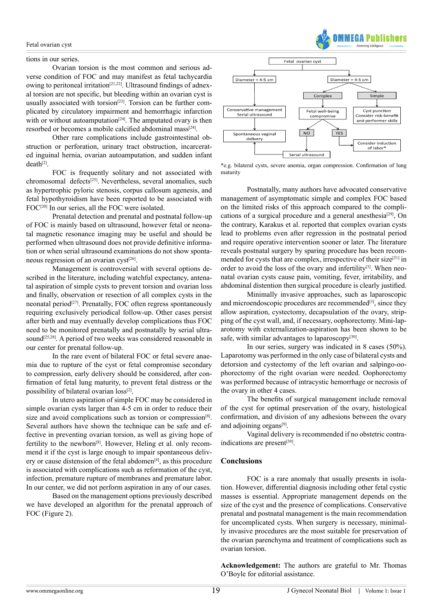#### Fetal ovarian cyst

#### tions in our series.

Ovarian torsion is the most common and serious adverse condition of FOC and may manifest as fetal tachycardia owing to peritoneal irritation[\[21,22\]](#page-4-18). Ultrasound findings of adnexal torsion are not specific, but bleeding within an ovarian cyst is usually associated with torsion<sup>[\[23\]](#page-4-19)</sup>. Torsion can be further complicated by circulatory impairment and hemorrhagic infarction with or without autoamputation<sup>[\[24\]](#page-4-20)</sup>. The amputated ovary is then resorbed or becomes a mobile calcified abdominal mass<sup>[\[24\]](#page-4-20)</sup>.

Other rare complications include gastrointestinal obstruction or perforation, urinary tract obstruction, incarcerated inguinal hernia, ovarian autoamputation, and sudden infant  $death^{[2]}$  $death^{[2]}$  $death^{[2]}$ .

FOC is frequently solitary and not associated with chromosomal defects[\[25\]](#page-4-21). Nevertheless, several anomalies, such as hypertrophic pyloric stenosis, corpus callosum agenesis, and fetal hypothyroidism have been reported to be associated with FOC<sup>[20]</sup> In our series, all the FOC were isolated.

Prenatal detection and prenatal and postnatal follow-up of FOC is mainly based on ultrasound, however fetal or neonatal magnetic resonance imaging may be useful and should be performed when ultrasound does not provide definitive information or when serial ultrasound examinations do not show spontaneous regression of an ovarian cyst $[26]$ .

Management is controversial with several options described in the literature, including watchful expectancy, antenatal aspiration of simple cysts to prevent torsion and ovarian loss and finally, observation or resection of all complex cysts in the neonatal period<sup>[\[27\]](#page-4-24)</sup>. Prenatally, FOC often regress spontaneously requiring exclusively periodical follow-up. Other cases persist after birth and may eventually develop complications thus FOC need to be monitored prenatally and postnatally by serial ultra-sound<sup>[\[25,28\]](#page-4-21)</sup>. A period of two weeks was considered reasonable in our center for prenatal follow-up.

In the rare event of bilateral FOC or fetal severe anaemia due to rupture of the cyst or fetal compromise secondary to compression, early delivery should be considered, after confirmation of fetal lung maturity, to prevent fetal distress or the possibility of bilateral ovarian loss<sup>[2]</sup>.

In utero aspiration of simple FOC may be considered in simple ovarian cysts larger than 4-5 cm in order to reduce their size and avoid complications such as torsion or compression<sup>[\[8\]](#page-4-7)</sup>. Several authors have shown the technique can be safe and effective in preventing ovarian torsion, as well as giving hope of fertility to the newborn[\[8\]](#page-4-7). However, Heling et al. only recommend it if the cyst is large enough to impair spontaneous delivery or cause distension of the fetal abdomen<sup>[4]</sup>, as this procedure is associated with complications such as reformation of the cyst, infection, premature rupture of membranes and premature labor. In our center, we did not perform aspiration in any of our cases.

Based on the management options previously described we have developed an algorithm for the prenatal approach of FOC (Figure 2).



*<u><b>IEGA Puhl</u>* 

\*e.g. bilateral cysts, severe anemia, organ compression. Confirmation of lung maturity

Postnatally, many authors have advocated conservative management of asymptomatic simple and complex FOC based on the limited risks of this approach compared to the compli-cations of a surgical procedure and a general anesthesia<sup>[\[29\]](#page-4-25)</sup>, On the contrary, Karakus et al. reported that complex ovarian cysts lead to problems even after regression in the postnatal period and require operative intervention sooner or later. The literature reveals postnatal surgery by sparing procedure has been recommended for cysts that are complex, irrespective of their size $[21]$  in order to avoid the loss of the ovary and infertility<sup>[3]</sup>. When neonatal ovarian cysts cause pain, vomiting, fever, irritability, and abdominal distention then surgical procedure is clearly justified.

Minimally invasive approaches, such as laparoscopic and microendoscopic procedures are recommended<sup>[3]</sup>, since they allow aspiration, cystectomy, decapsulation of the ovary, stripping of the cyst wall, and, if necessary, oophorectomy. Mini-laparotomy with externalization-aspiration has been shown to be safe, with similar advantages to laparoscopy $[30]$ .

In our series, surgery was indicated in 8 cases (50%). Laparotomy was performed in the only case of bilateral cysts and detorsion and cystectomy of the left ovarian and salpingo-oophorectomy of the right ovarian were needed. Oophorectomy was performed because of intracystic hemorrhage or necrosis of the ovary in other 4 cases.

The benefits of surgical management include removal of the cyst for optimal preservation of the ovary, histological confirmation, and division of any adhesions between the ovary and adjoining organs<sup>[9]</sup>.

Vaginal delivery is recommended if no obstetric contra-indications are present<sup>[\[30\]](#page-4-26)</sup>.

#### **Conclusions**

FOC is a rare anomaly that usually presents in isolation. However, differential diagnosis including other fetal cystic masses is essential. Appropriate management depends on the size of the cyst and the presence of complications. Conservative prenatal and postnatal management is the main recommendation for uncomplicated cysts. When surgery is necessary, minimally invasive procedures are the most suitable for preservation of the ovarian parenchyma and treatment of complications such as ovarian torsion.

**Acknowledgement:** The authors are grateful to Mr. Thomas O'Boyle for editorial assistance.